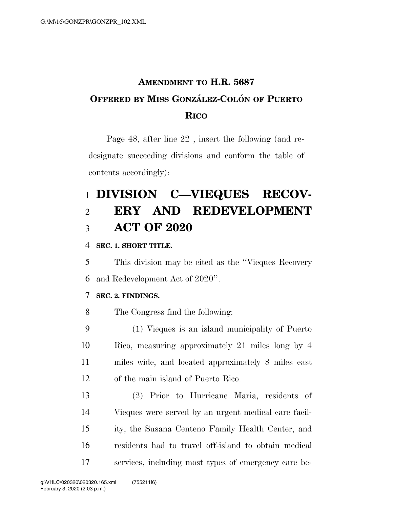## **AMENDMENT TO H.R. 5687 OFFERED BY MISS GONZA´ LEZ-COLO´ N OF PUERTO RICO**

Page 48, after line 22 , insert the following (and redesignate succeeding divisions and conform the table of contents accordingly):

# **DIVISION C—VIEQUES RECOV- ERY AND REDEVELOPMENT ACT OF 2020**

#### **SEC. 1. SHORT TITLE.**

 This division may be cited as the ''Vieques Recovery and Redevelopment Act of 2020''.

#### **SEC. 2. FINDINGS.**

The Congress find the following:

 (1) Vieques is an island municipality of Puerto Rico, measuring approximately 21 miles long by 4 miles wide, and located approximately 8 miles east of the main island of Puerto Rico.

 (2) Prior to Hurricane Maria, residents of Vieques were served by an urgent medical care facil- ity, the Susana Centeno Family Health Center, and residents had to travel off-island to obtain medical services, including most types of emergency care be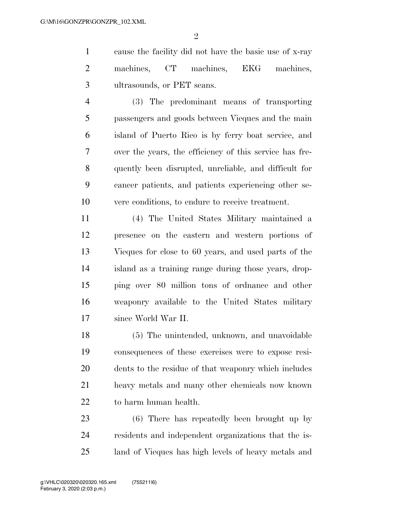$\mathfrak{D}$ 

 cause the facility did not have the basic use of x-ray machines, CT machines, EKG machines, ultrasounds, or PET scans.

 (3) The predominant means of transporting passengers and goods between Vieques and the main island of Puerto Rico is by ferry boat service, and over the years, the efficiency of this service has fre- quently been disrupted, unreliable, and difficult for cancer patients, and patients experiencing other se-vere conditions, to endure to receive treatment.

 (4) The United States Military maintained a presence on the eastern and western portions of Vieques for close to 60 years, and used parts of the island as a training range during those years, drop- ping over 80 million tons of ordnance and other weaponry available to the United States military since World War II.

 (5) The unintended, unknown, and unavoidable consequences of these exercises were to expose resi- dents to the residue of that weaponry which includes heavy metals and many other chemicals now known to harm human health.

 (6) There has repeatedly been brought up by residents and independent organizations that the is-land of Vieques has high levels of heavy metals and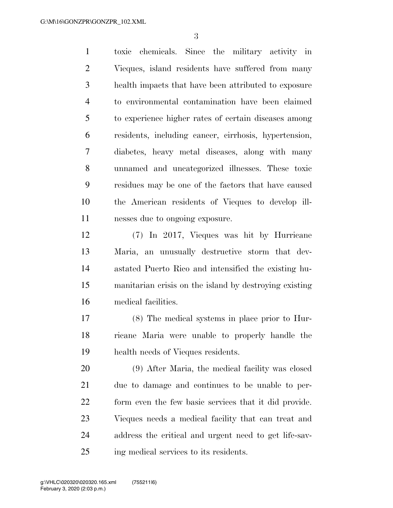toxic chemicals. Since the military activity in Vieques, island residents have suffered from many health impacts that have been attributed to exposure to environmental contamination have been claimed to experience higher rates of certain diseases among residents, including cancer, cirrhosis, hypertension, diabetes, heavy metal diseases, along with many unnamed and uncategorized illnesses. These toxic residues may be one of the factors that have caused the American residents of Vieques to develop ill-nesses due to ongoing exposure.

 (7) In 2017, Vieques was hit by Hurricane Maria, an unusually destructive storm that dev- astated Puerto Rico and intensified the existing hu- manitarian crisis on the island by destroying existing medical facilities.

 (8) The medical systems in place prior to Hur- ricane Maria were unable to properly handle the health needs of Vieques residents.

 (9) After Maria, the medical facility was closed due to damage and continues to be unable to per- form even the few basic services that it did provide. Vieques needs a medical facility that can treat and address the critical and urgent need to get life-sav-ing medical services to its residents.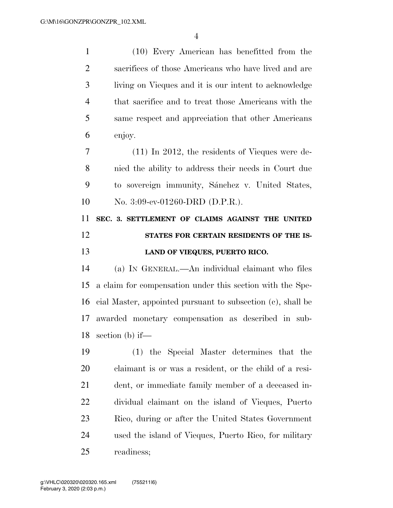(10) Every American has benefitted from the sacrifices of those Americans who have lived and are living on Vieques and it is our intent to acknowledge that sacrifice and to treat those Americans with the same respect and appreciation that other Americans enjoy. (11) In 2012, the residents of Vieques were de- nied the ability to address their needs in Court due 9 to sovereign immunity, Sánchez v. United States, No. 3:09-cv-01260-DRD (D.P.R.). **SEC. 3. SETTLEMENT OF CLAIMS AGAINST THE UNITED STATES FOR CERTAIN RESIDENTS OF THE IS- LAND OF VIEQUES, PUERTO RICO.**  (a) IN GENERAL.—An individual claimant who files a claim for compensation under this section with the Spe- cial Master, appointed pursuant to subsection (c), shall be awarded monetary compensation as described in sub- section (b) if— (1) the Special Master determines that the claimant is or was a resident, or the child of a resi- dent, or immediate family member of a deceased in- dividual claimant on the island of Vieques, Puerto Rico, during or after the United States Government used the island of Vieques, Puerto Rico, for military readiness;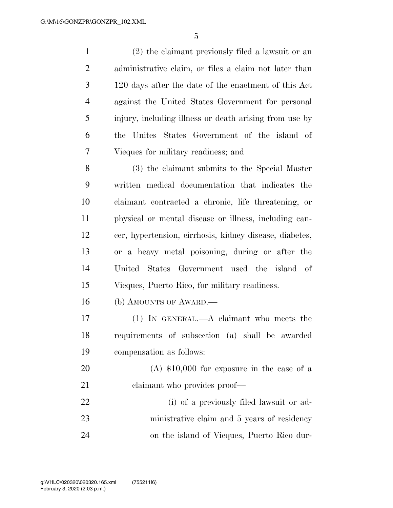(2) the claimant previously filed a lawsuit or an administrative claim, or files a claim not later than 120 days after the date of the enactment of this Act against the United States Government for personal injury, including illness or death arising from use by the Unites States Government of the island of Vieques for military readiness; and

 (3) the claimant submits to the Special Master written medical documentation that indicates the claimant contracted a chronic, life threatening, or physical or mental disease or illness, including can- cer, hypertension, cirrhosis, kidney disease, diabetes, or a heavy metal poisoning, during or after the United States Government used the island of Vieques, Puerto Rico, for military readiness.

(b) AMOUNTS OF AWARD.—

 (1) IN GENERAL.—A claimant who meets the requirements of subsection (a) shall be awarded compensation as follows:

 (A) \$10,000 for exposure in the case of a 21 claimant who provides proof—

 (i) of a previously filed lawsuit or ad-23 ministrative claim and 5 years of residency on the island of Vieques, Puerto Rico dur-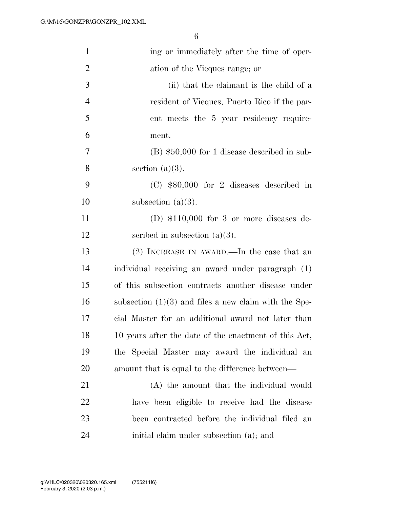| $\mathbf{1}$   | ing or immediately after the time of oper-              |
|----------------|---------------------------------------------------------|
| $\overline{2}$ | ation of the Vieques range; or                          |
| 3              | (ii) that the claimant is the child of a                |
| $\overline{4}$ | resident of Vieques, Puerto Rico if the par-            |
| 5              | ent meets the 5 year residency require-                 |
| 6              | ment.                                                   |
| $\tau$         | $(B)$ \$50,000 for 1 disease described in sub-          |
| 8              | section $(a)(3)$ .                                      |
| 9              | $(C)$ \$80,000 for 2 diseases described in              |
| 10             | subsection $(a)(3)$ .                                   |
| 11             | (D) $$110,000$ for 3 or more diseases de-               |
| 12             | scribed in subsection $(a)(3)$ .                        |
| 13             | $(2)$ INCREASE IN AWARD.—In the case that an            |
| 14             | individual receiving an award under paragraph (1)       |
| 15             | of this subsection contracts another disease under      |
| 16             | subsection $(1)(3)$ and files a new claim with the Spe- |
| 17             | cial Master for an additional award not later than      |
| 18             | 10 years after the date of the enactment of this Act,   |
| 19             | the Special Master may award the individual an          |
| <b>20</b>      | amount that is equal to the difference between—         |
| 21             | (A) the amount that the individual would                |
| 22             | have been eligible to receive had the disease           |
| 23             | been contracted before the individual filed an          |
| 24             | initial claim under subsection (a); and                 |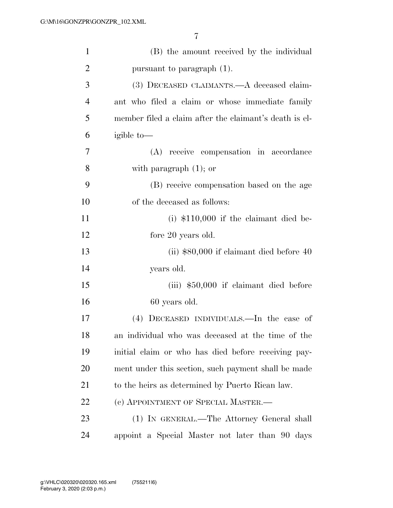| $\mathbf{1}$   | (B) the amount received by the individual              |
|----------------|--------------------------------------------------------|
| $\overline{2}$ | pursuant to paragraph (1).                             |
| 3              | (3) DECEASED CLAIMANTS.—A deceased claim-              |
| $\overline{4}$ | ant who filed a claim or whose immediate family        |
| 5              | member filed a claim after the claimant's death is el- |
| 6              | igible to-                                             |
| 7              | (A) receive compensation in accordance                 |
| 8              | with paragraph $(1)$ ; or                              |
| 9              | (B) receive compensation based on the age              |
| 10             | of the deceased as follows:                            |
| 11             | $(i)$ \$110,000 if the claimant died be-               |
| 12             | fore 20 years old.                                     |
| 13             | (ii) $$80,000$ if claimant died before 40              |
| 14             | years old.                                             |
| 15             | $(iii)$ \$50,000 if claimant died before               |
| 16             | 60 years old.                                          |
| 17             | (4) DECEASED INDIVIDUALS.—In the case of               |
| 18             | an individual who was deceased at the time of the      |
| 19             | initial claim or who has died before receiving pay-    |
| 20             | ment under this section, such payment shall be made    |
| 21             | to the heirs as determined by Puerto Rican law.        |
| 22             | (c) APPOINTMENT OF SPECIAL MASTER.—                    |
| 23             | (1) IN GENERAL.—The Attorney General shall             |
| 24             | appoint a Special Master not later than 90 days        |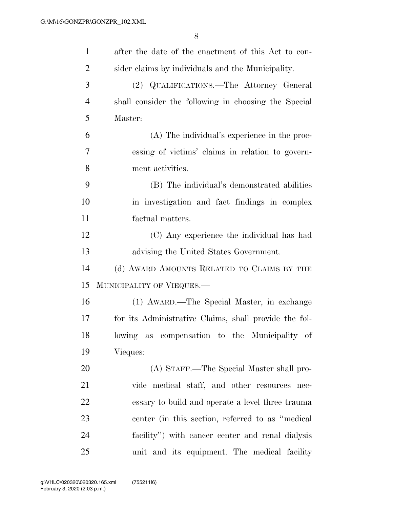| $\mathbf{1}$   | after the date of the enactment of this Act to con-   |
|----------------|-------------------------------------------------------|
| $\overline{2}$ | sider claims by individuals and the Municipality.     |
| 3              | (2) QUALIFICATIONS.—The Attorney General              |
| $\overline{4}$ | shall consider the following in choosing the Special  |
| 5              | Master:                                               |
| 6              | (A) The individual's experience in the proc-          |
| 7              | essing of victims' claims in relation to govern-      |
| 8              | ment activities.                                      |
| 9              | (B) The individual's demonstrated abilities           |
| 10             | in investigation and fact findings in complex         |
| 11             | factual matters.                                      |
| 12             | (C) Any experience the individual has had             |
| 13             | advising the United States Government.                |
| 14             | (d) AWARD AMOUNTS RELATED TO CLAIMS BY THE            |
| 15             | MUNICIPALITY OF VIEQUES.—                             |
| 16             | (1) AWARD.—The Special Master, in exchange            |
| 17             | for its Administrative Claims, shall provide the fol- |
| 18             | lowing as compensation to the Municipality of         |
| 19             | Vieques:                                              |
| <b>20</b>      | (A) STAFF.—The Special Master shall pro-              |
| 21             | vide medical staff, and other resources nec-          |
| 22             | essary to build and operate a level three trauma      |
| 23             | center (in this section, referred to as "medical")    |
| 24             | facility") with cancer center and renal dialysis      |
| 25             | unit and its equipment. The medical facility          |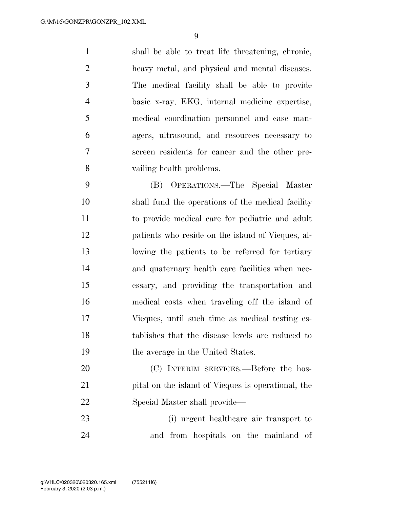shall be able to treat life threatening, chronic, heavy metal, and physical and mental diseases. The medical facility shall be able to provide basic x-ray, EKG, internal medicine expertise, medical coordination personnel and case man- agers, ultrasound, and resources necessary to screen residents for cancer and the other pre-vailing health problems.

 (B) OPERATIONS.—The Special Master shall fund the operations of the medical facility to provide medical care for pediatric and adult patients who reside on the island of Vieques, al- lowing the patients to be referred for tertiary and quaternary health care facilities when nec- essary, and providing the transportation and medical costs when traveling off the island of Vieques, until such time as medical testing es- tablishes that the disease levels are reduced to the average in the United States.

20 (C) INTERIM SERVICES.—Before the hos- pital on the island of Vieques is operational, the Special Master shall provide—

 (i) urgent healthcare air transport to and from hospitals on the mainland of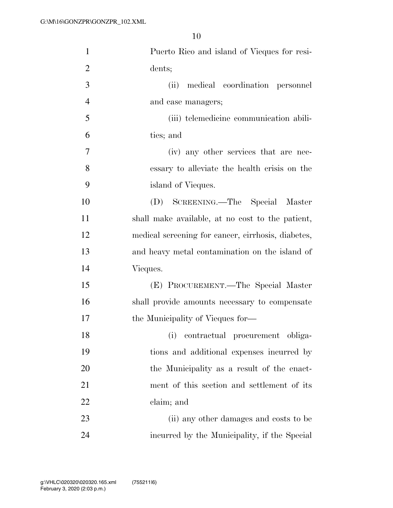| $\mathbf{1}$   | Puerto Rico and island of Vieques for resi-        |
|----------------|----------------------------------------------------|
| $\overline{2}$ | dents;                                             |
| 3              | (ii) medical coordination personnel                |
| $\overline{4}$ | and case managers;                                 |
| 5              | (iii) telemedicine communication abili-            |
| 6              | ties; and                                          |
| 7              | (iv) any other services that are nec-              |
| 8              | essary to alleviate the health crisis on the       |
| 9              | island of Vieques.                                 |
| 10             | (D) SCREENING.—The Special Master                  |
| 11             | shall make available, at no cost to the patient,   |
| 12             | medical screening for cancer, cirrhosis, diabetes, |
| 13             | and heavy metal contamination on the island of     |
| 14             | Vieques.                                           |
| 15             | (E) PROCUREMENT.—The Special Master                |
| 16             | shall provide amounts necessary to compensate      |
| 17             | the Municipality of Vieques for—                   |
| 18             | (i)<br>contractual procurement obliga-             |
| 19             | tions and additional expenses incurred by          |
| 20             | the Municipality as a result of the enact-         |
| 21             | ment of this section and settlement of its         |
| 22             | claim; and                                         |
| 23             | (ii) any other damages and costs to be             |
| 24             | incurred by the Municipality, if the Special       |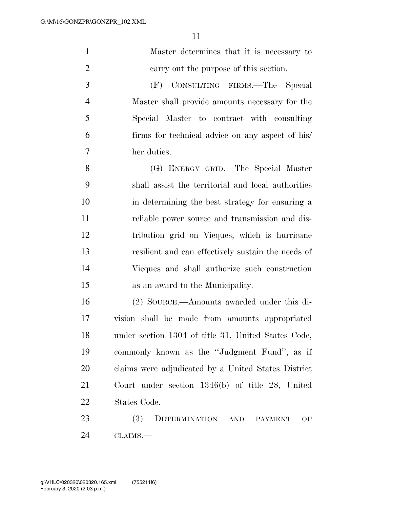| $\mathbf{1}$   | Master determines that it is necessary to                         |
|----------------|-------------------------------------------------------------------|
| $\overline{2}$ | carry out the purpose of this section.                            |
| 3              | (F)<br>CONSULTING FIRMS.—The<br>Special                           |
| $\overline{4}$ | Master shall provide amounts necessary for the                    |
| 5              | Special Master to contract with consulting                        |
| 6              | firms for technical advice on any aspect of his/                  |
| 7              | her duties.                                                       |
| 8              | (G) ENERGY GRID.—The Special Master                               |
| 9              | shall assist the territorial and local authorities                |
| 10             | in determining the best strategy for ensuring a                   |
| 11             | reliable power source and transmission and dis-                   |
| 12             | tribution grid on Vieques, which is hurricane                     |
| 13             | resilient and can effectively sustain the needs of                |
| 14             | Vieques and shall authorize such construction                     |
| 15             | as an award to the Municipality.                                  |
| 16             | (2) SOURCE.—Amounts awarded under this di-                        |
| 17             | vision shall be made from amounts appropriated                    |
| 18             | under section 1304 of title 31, United States Code,               |
| 19             | commonly known as the "Judgment Fund", as if                      |
| 20             | claims were adjudicated by a United States District               |
| 21             | Court under section $1346(b)$ of title 28, United                 |
| 22             | States Code.                                                      |
| 23             | <b>(3)</b><br>DETERMINATION<br><b>AND</b><br><b>PAYMENT</b><br>OF |
|                |                                                                   |

CLAIMS.—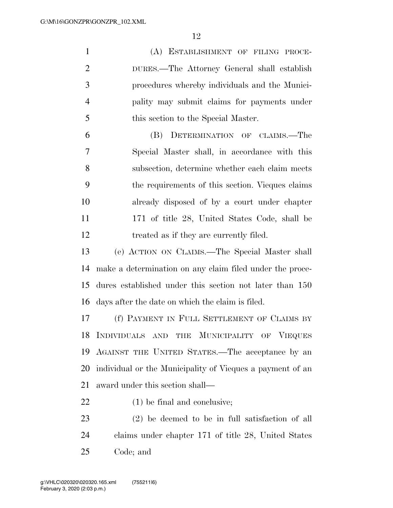(A) ESTABLISHMENT OF FILING PROCE- DURES.—The Attorney General shall establish procedures whereby individuals and the Munici- pality may submit claims for payments under 5 this section to the Special Master. (B) DETERMINATION OF CLAIMS.—The Special Master shall, in accordance with this subsection, determine whether each claim meets the requirements of this section. Vieques claims already disposed of by a court under chapter 11 171 of title 28, United States Code, shall be

12 treated as if they are currently filed.

 (e) ACTION ON CLAIMS.—The Special Master shall make a determination on any claim filed under the proce- dures established under this section not later than 150 days after the date on which the claim is filed.

 (f) PAYMENT IN FULL SETTLEMENT OF CLAIMS BY INDIVIDUALS AND THE MUNICIPALITY OF VIEQUES AGAINST THE UNITED STATES.—The acceptance by an individual or the Municipality of Vieques a payment of an award under this section shall—

(1) be final and conclusive;

 (2) be deemed to be in full satisfaction of all claims under chapter 171 of title 28, United States Code; and